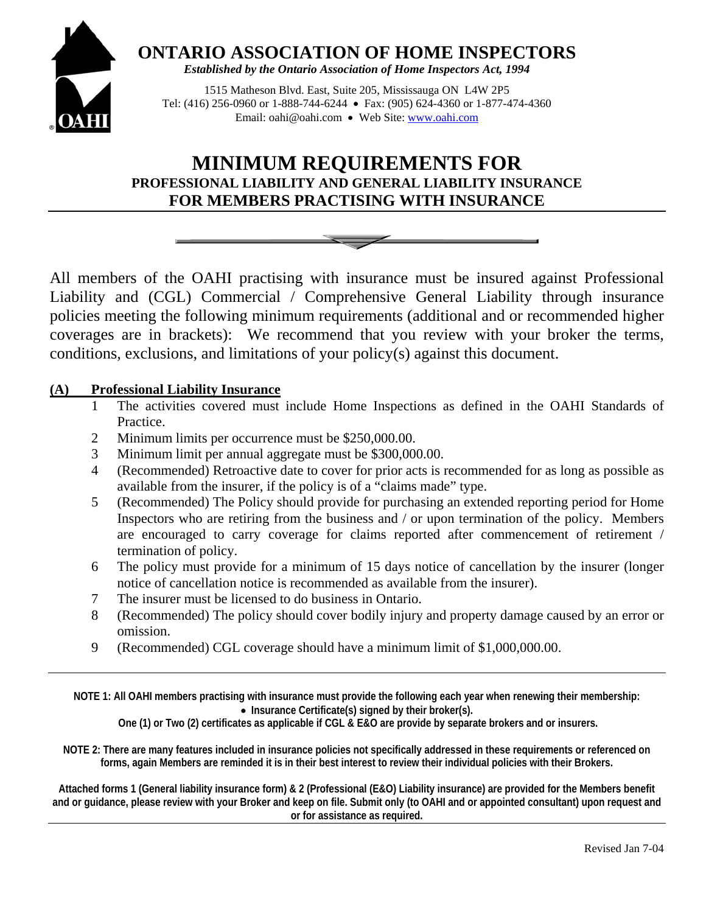

**ONTARIO ASSOCIATION OF HOME INSPECTORS**

*Established by the Ontario Association of Home Inspectors Act, 1994* 

1515 Matheson Blvd. East, Suite 205, Mississauga ON L4W 2P5 Tel: (416) 256-0960 or 1-888-744-6244 Fax: (905) 624-4360 or 1-877-474-4360 Email: oahi@oahi.com • Web Site: www.oahi.com

## **MINIMUM REQUIREMENTS FOR PROFESSIONAL LIABILITY AND GENERAL LIABILITY INSURANCE FOR MEMBERS PRACTISING WITH INSURANCE**



All members of the OAHI practising with insurance must be insured against Professional Liability and (CGL) Commercial / Comprehensive General Liability through insurance policies meeting the following minimum requirements (additional and or recommended higher coverages are in brackets): We recommend that you review with your broker the terms, conditions, exclusions, and limitations of your policy(s) against this document.

### **(A) Professional Liability Insurance**

- 1 The activities covered must include Home Inspections as defined in the OAHI Standards of Practice.
- 2 Minimum limits per occurrence must be \$250,000.00.
- 3 Minimum limit per annual aggregate must be \$300,000.00.
- 4 (Recommended) Retroactive date to cover for prior acts is recommended for as long as possible as available from the insurer, if the policy is of a "claims made" type.
- 5 (Recommended) The Policy should provide for purchasing an extended reporting period for Home Inspectors who are retiring from the business and / or upon termination of the policy. Members are encouraged to carry coverage for claims reported after commencement of retirement / termination of policy.
- 6 The policy must provide for a minimum of 15 days notice of cancellation by the insurer (longer notice of cancellation notice is recommended as available from the insurer).
- 7 The insurer must be licensed to do business in Ontario.
- 8 (Recommended) The policy should cover bodily injury and property damage caused by an error or omission.
- 9 (Recommended) CGL coverage should have a minimum limit of \$1,000,000.00.

**NOTE 1: All OAHI members practising with insurance must provide the following each year when renewing their membership: Insurance Certificate(s) signed by their broker(s).** 

 **One (1) or Two (2) certificates as applicable if CGL & E&O are provide by separate brokers and or insurers.** 

**NOTE 2: There are many features included in insurance policies not specifically addressed in these requirements or referenced on forms, again Members are reminded it is in their best interest to review their individual policies with their Brokers.** 

**Attached forms 1 (General liability insurance form) & 2 (Professional (E&O) Liability insurance) are provided for the Members benefit and or guidance, please review with your Broker and keep on file. Submit only (to OAHI and or appointed consultant) upon request and or for assistance as required.**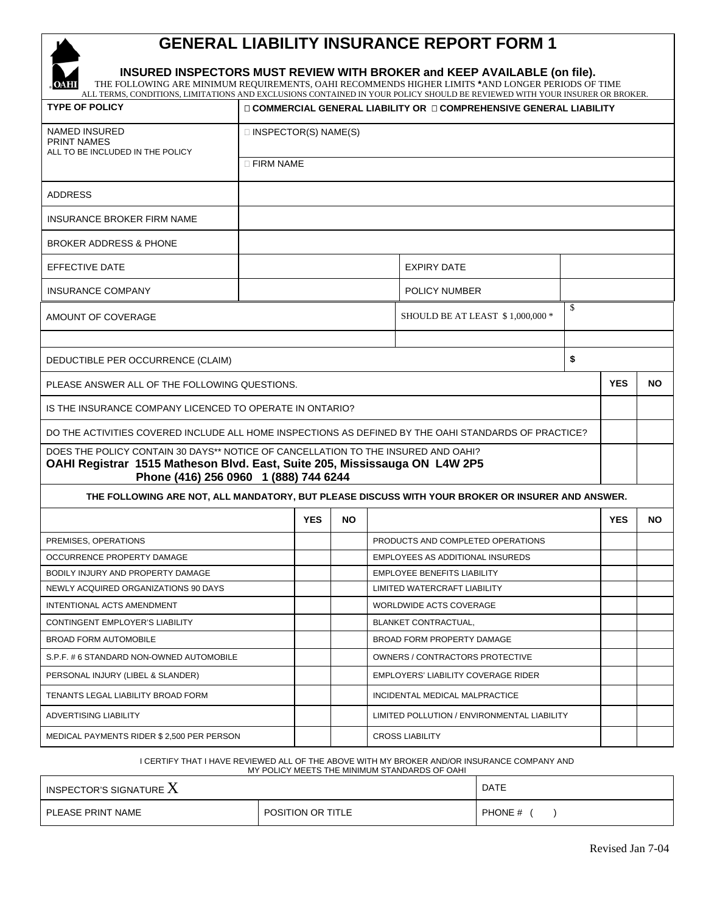## **GENERAL LIABILITY INSURANCE REPORT FORM 1**



 $\mathbf{r}$ 

#### **INSURED INSPECTORS MUST REVIEW WITH BROKER and KEEP AVAILABLE (on file).**

THE FOLLOWING ARE MINIMUM REQUIREMENTS, OAHI RECOMMENDS HIGHER LIMITS **\***AND LONGER PERIODS OF TIME ALL TERMS, CONDITIONS, LIMITATIONS AND EXCLUSIONS CONTAINED IN YOUR POLICY SHOULD BE REVIEWED WITH YOUR INSURER OR BROKER.

| <b>TYPE OF POLICY</b>                                                                                                                                                                                    | $\square$ COMMERCIAL GENERAL LIABILITY OR $\square$ COMPREHENSIVE GENERAL LIABILITY |            |           |                                        |                                                                                                  |           |            |           |  |
|----------------------------------------------------------------------------------------------------------------------------------------------------------------------------------------------------------|-------------------------------------------------------------------------------------|------------|-----------|----------------------------------------|--------------------------------------------------------------------------------------------------|-----------|------------|-----------|--|
| <b>NAMED INSURED</b><br><b>PRINT NAMES</b>                                                                                                                                                               | $\Box$ INSPECTOR(S) NAME(S)                                                         |            |           |                                        |                                                                                                  |           |            |           |  |
| ALL TO BE INCLUDED IN THE POLICY                                                                                                                                                                         | $\Box$ FIRM NAME                                                                    |            |           |                                        |                                                                                                  |           |            |           |  |
| <b>ADDRESS</b>                                                                                                                                                                                           |                                                                                     |            |           |                                        |                                                                                                  |           |            |           |  |
| <b>INSURANCE BROKER FIRM NAME</b>                                                                                                                                                                        |                                                                                     |            |           |                                        |                                                                                                  |           |            |           |  |
| <b>BROKER ADDRESS &amp; PHONE</b>                                                                                                                                                                        |                                                                                     |            |           |                                        |                                                                                                  |           |            |           |  |
| EFFECTIVE DATE                                                                                                                                                                                           | <b>EXPIRY DATE</b>                                                                  |            |           |                                        |                                                                                                  |           |            |           |  |
| <b>INSURANCE COMPANY</b>                                                                                                                                                                                 |                                                                                     |            |           |                                        | POLICY NUMBER                                                                                    |           |            |           |  |
| AMOUNT OF COVERAGE                                                                                                                                                                                       |                                                                                     |            |           | \$<br>SHOULD BE AT LEAST \$1,000,000 * |                                                                                                  |           |            |           |  |
| DEDUCTIBLE PER OCCURRENCE (CLAIM)                                                                                                                                                                        |                                                                                     |            |           | \$                                     |                                                                                                  |           |            |           |  |
| PLEASE ANSWER ALL OF THE FOLLOWING QUESTIONS.                                                                                                                                                            |                                                                                     |            |           |                                        | <b>YES</b>                                                                                       | <b>NO</b> |            |           |  |
|                                                                                                                                                                                                          |                                                                                     |            |           |                                        |                                                                                                  |           |            |           |  |
| IS THE INSURANCE COMPANY LICENCED TO OPERATE IN ONTARIO?                                                                                                                                                 |                                                                                     |            |           |                                        |                                                                                                  |           |            |           |  |
| DO THE ACTIVITIES COVERED INCLUDE ALL HOME INSPECTIONS AS DEFINED BY THE OAHI STANDARDS OF PRACTICE?                                                                                                     |                                                                                     |            |           |                                        |                                                                                                  |           |            |           |  |
| DOES THE POLICY CONTAIN 30 DAYS** NOTICE OF CANCELLATION TO THE INSURED AND OAHI?<br>OAHI Registrar 1515 Matheson Blvd. East, Suite 205, Mississauga ON L4W 2P5<br>Phone (416) 256 0960 1 (888) 744 6244 |                                                                                     |            |           |                                        |                                                                                                  |           |            |           |  |
|                                                                                                                                                                                                          |                                                                                     |            |           |                                        | THE FOLLOWING ARE NOT, ALL MANDATORY, BUT PLEASE DISCUSS WITH YOUR BROKER OR INSURER AND ANSWER. |           |            |           |  |
|                                                                                                                                                                                                          |                                                                                     | <b>YES</b> | <b>NO</b> |                                        |                                                                                                  |           | <b>YES</b> | <b>NO</b> |  |
| PREMISES, OPERATIONS                                                                                                                                                                                     |                                                                                     |            |           |                                        | PRODUCTS AND COMPLETED OPERATIONS                                                                |           |            |           |  |
| OCCURRENCE PROPERTY DAMAGE                                                                                                                                                                               |                                                                                     |            |           |                                        | <b>EMPLOYEES AS ADDITIONAL INSUREDS</b>                                                          |           |            |           |  |
| BODILY INJURY AND PROPERTY DAMAGE                                                                                                                                                                        |                                                                                     |            |           |                                        | <b>EMPLOYEE BENEFITS LIABILITY</b>                                                               |           |            |           |  |
| NEWLY ACQUIRED ORGANIZATIONS 90 DAYS                                                                                                                                                                     |                                                                                     |            |           |                                        | LIMITED WATERCRAFT LIABILITY                                                                     |           |            |           |  |
| INTENTIONAL ACTS AMENDMENT                                                                                                                                                                               |                                                                                     |            |           |                                        | WORLDWIDE ACTS COVERAGE                                                                          |           |            |           |  |
| CONTINGENT EMPLOYER'S LIABILITY                                                                                                                                                                          |                                                                                     |            |           |                                        | <b>BLANKET CONTRACTUAL,</b>                                                                      |           |            |           |  |
| <b>BROAD FORM AUTOMOBILE</b>                                                                                                                                                                             |                                                                                     |            |           |                                        | BROAD FORM PROPERTY DAMAGE                                                                       |           |            |           |  |
| S.P.F. # 6 STANDARD NON-OWNED AUTOMOBILE                                                                                                                                                                 |                                                                                     |            |           |                                        | OWNERS / CONTRACTORS PROTECTIVE                                                                  |           |            |           |  |
| PERSONAL INJURY (LIBEL & SLANDER)                                                                                                                                                                        |                                                                                     |            |           |                                        | <b>EMPLOYERS' LIABILITY COVERAGE RIDER</b>                                                       |           |            |           |  |
| TENANTS LEGAL LIABILITY BROAD FORM                                                                                                                                                                       |                                                                                     |            |           |                                        | INCIDENTAL MEDICAL MALPRACTICE                                                                   |           |            |           |  |
| ADVERTISING LIABILITY                                                                                                                                                                                    |                                                                                     |            |           |                                        | LIMITED POLLUTION / ENVIRONMENTAL LIABILITY                                                      |           |            |           |  |
| MEDICAL PAYMENTS RIDER \$ 2,500 PER PERSON                                                                                                                                                               |                                                                                     |            |           |                                        | <b>CROSS LIABILITY</b>                                                                           |           |            |           |  |

I CERTIFY THAT I HAVE REVIEWED ALL OF THE ABOVE WITH MY BROKER AND/OR INSURANCE COMPANY AND

MY POLICY MEETS THE MINIMUM STANDARDS OF OAHI

| INSPECTOR'S SIGNATURE $\boldsymbol{\Lambda}$ | <b>DATE</b>              |         |  |
|----------------------------------------------|--------------------------|---------|--|
| PLEASE PRINT NAME                            | <b>POSITION OR TITLE</b> | PHONE # |  |